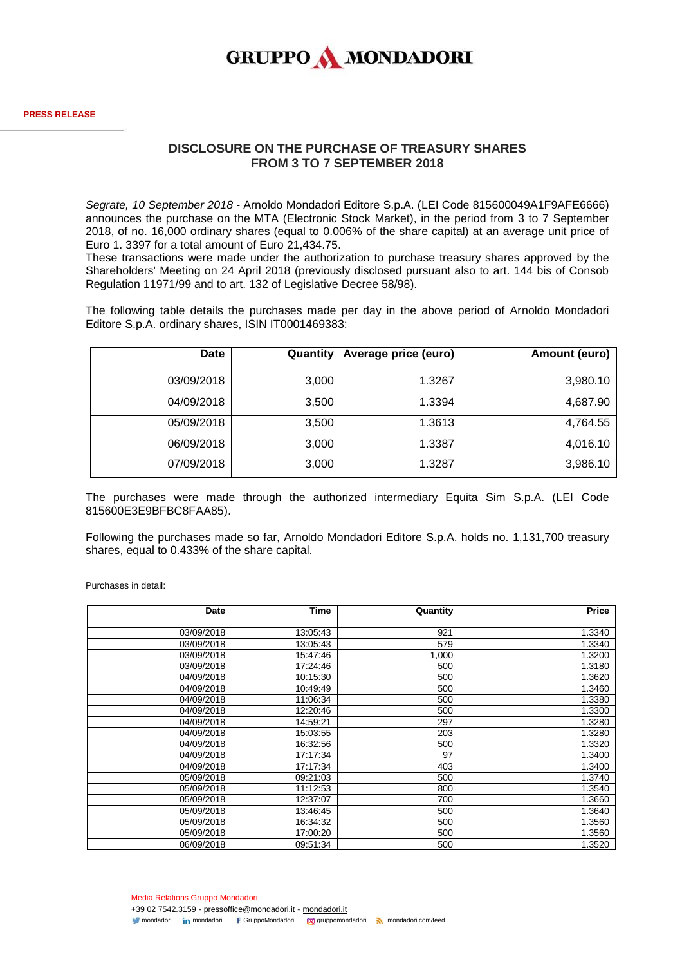

## **DISCLOSURE ON THE PURCHASE OF TREASURY SHARES FROM 3 TO 7 SEPTEMBER 2018**

*Segrate, 10 September 2018* - Arnoldo Mondadori Editore S.p.A. (LEI Code 815600049A1F9AFE6666) announces the purchase on the MTA (Electronic Stock Market), in the period from 3 to 7 September 2018, of no. 16,000 ordinary shares (equal to 0.006% of the share capital) at an average unit price of Euro 1. 3397 for a total amount of Euro 21,434.75.

These transactions were made under the authorization to purchase treasury shares approved by the Shareholders' Meeting on 24 April 2018 (previously disclosed pursuant also to art. 144 bis of Consob Regulation 11971/99 and to art. 132 of Legislative Decree 58/98).

The following table details the purchases made per day in the above period of Arnoldo Mondadori Editore S.p.A. ordinary shares, ISIN IT0001469383:

| <b>Date</b> | Quantity | Average price (euro) | Amount (euro) |
|-------------|----------|----------------------|---------------|
|             |          |                      |               |
| 03/09/2018  | 3,000    | 1.3267               | 3,980.10      |
| 04/09/2018  | 3,500    | 1.3394               | 4,687.90      |
| 05/09/2018  | 3,500    | 1.3613               | 4,764.55      |
| 06/09/2018  | 3,000    | 1.3387               | 4,016.10      |
| 07/09/2018  | 3,000    | 1.3287               | 3,986.10      |

The purchases were made through the authorized intermediary Equita Sim S.p.A. (LEI Code 815600E3E9BFBC8FAA85).

Following the purchases made so far, Arnoldo Mondadori Editore S.p.A. holds no. 1,131,700 treasury shares, equal to 0.433% of the share capital.

Purchases in detail:

| Date       | Time     | Quantity | Price  |
|------------|----------|----------|--------|
|            |          |          |        |
| 03/09/2018 | 13:05:43 | 921      | 1.3340 |
| 03/09/2018 | 13:05:43 | 579      | 1.3340 |
| 03/09/2018 | 15:47:46 | 1,000    | 1.3200 |
| 03/09/2018 | 17:24:46 | 500      | 1.3180 |
| 04/09/2018 | 10:15:30 | 500      | 1.3620 |
| 04/09/2018 | 10:49:49 | 500      | 1.3460 |
| 04/09/2018 | 11:06:34 | 500      | 1.3380 |
| 04/09/2018 | 12:20:46 | 500      | 1.3300 |
| 04/09/2018 | 14:59:21 | 297      | 1.3280 |
| 04/09/2018 | 15:03:55 | 203      | 1.3280 |
| 04/09/2018 | 16:32:56 | 500      | 1.3320 |
| 04/09/2018 | 17:17:34 | 97       | 1.3400 |
| 04/09/2018 | 17:17:34 | 403      | 1.3400 |
| 05/09/2018 | 09:21:03 | 500      | 1.3740 |
| 05/09/2018 | 11:12:53 | 800      | 1.3540 |
| 05/09/2018 | 12:37:07 | 700      | 1.3660 |
| 05/09/2018 | 13:46:45 | 500      | 1.3640 |
| 05/09/2018 | 16:34:32 | 500      | 1.3560 |
| 05/09/2018 | 17:00:20 | 500      | 1.3560 |
| 06/09/2018 | 09:51:34 | 500      | 1.3520 |